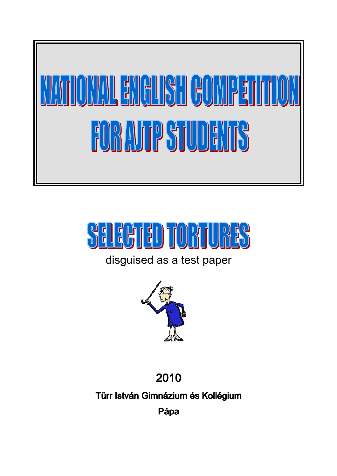



## disguised as a test paper



## 2010

Türr István Gimnázium és Kollégium

Pápa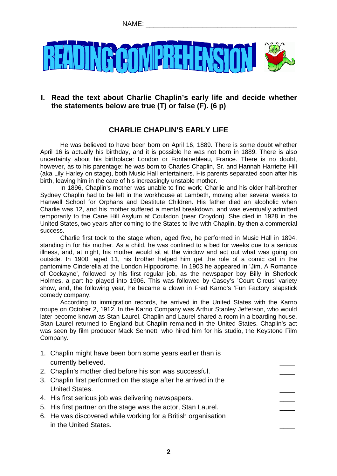

#### **I. Read the text about Charlie Chaplin's early life and decide whether the statements below are true (T) or false (F). (6 p)**

#### **CHARLIE CHAPLIN'S EARLY LIFE**

He was believed to have been born on April 16, 1889. There is some doubt whether April 16 is actually his birthday, and it is possible he was not born in 1889. There is also uncertainty about his birthplace: London or Fontainebleau, France. There is no doubt, however, as to his parentage: he was born to Charles Chaplin, Sr. and Hannah Harriette Hill (aka Lily Harley on stage), both Music Hall entertainers. His parents separated soon after his birth, leaving him in the care of his increasingly unstable mother.

In 1896, Chaplin's mother was unable to find work; Charlie and his older half-brother Sydney Chaplin had to be left in the workhouse at Lambeth, moving after several weeks to Hanwell School for Orphans and Destitute Children. His father died an alcoholic when Charlie was 12, and his mother suffered a mental breakdown, and was eventually admitted temporarily to the Cane Hill Asylum at Coulsdon (near Croydon). She died in 1928 in the United States, two years after coming to the States to live with Chaplin, by then a commercial success.

Charlie first took to the stage when, aged five, he performed in Music Hall in 1894, standing in for his mother. As a child, he was confined to a bed for weeks due to a serious illness, and, at night, his mother would sit at the window and act out what was going on outside. In 1900, aged 11, his brother helped him get the role of a comic cat in the pantomime Cinderella at the London Hippodrome. In 1903 he appeared in 'Jim, A Romance of Cockayne', followed by his first regular job, as the newspaper boy Billy in Sherlock Holmes, a part he played into 1906. This was followed by Casey's 'Court Circus' variety show, and, the following year, he became a clown in Fred Karno's 'Fun Factory' slapstick comedy company.

According to immigration records, he arrived in the United States with the Karno troupe on October 2, 1912. In the Karno Company was Arthur Stanley Jefferson, who would later become known as Stan Laurel. Chaplin and Laurel shared a room in a boarding house. Stan Laurel returned to England but Chaplin remained in the United States. Chaplin's act was seen by film producer Mack Sennett, who hired him for his studio, the Keystone Film Company.

- 1. Chaplin might have been born some years earlier than is currently believed.
- 2. Chaplin's mother died before his son was successful.
- 3. Chaplin first performed on the stage after he arrived in the United States.
- 4. His first serious job was delivering newspapers.
- 5. His first partner on the stage was the actor, Stan Laurel.
- 6. He was discovered while working for a British organisation in the United States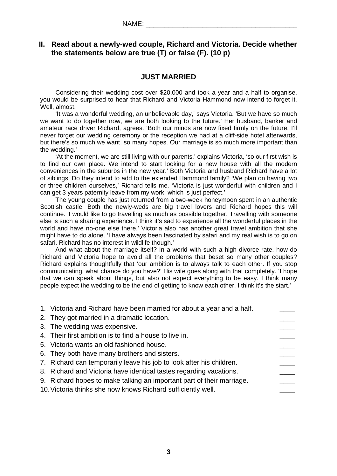#### **II. Read about a newly-wed couple, Richard and Victoria. Decide whether the statements below are true (T) or false (F). (10 p)**

#### **JUST MARRIED**

Considering their wedding cost over \$20,000 and took a year and a half to organise, you would be surprised to hear that Richard and Victoria Hammond now intend to forget it. Well, almost.

'It was a wonderful wedding, an unbelievable day,' says Victoria. 'But we have so much we want to do together now, we are both looking to the future.' Her husband, banker and amateur race driver Richard, agrees. 'Both our minds are now fixed firmly on the future. I'll never forget our wedding ceremony or the reception we had at a cliff-side hotel afterwards, but there's so much we want, so many hopes. Our marriage is so much more important than the wedding.'

'At the moment, we are still living with our parents.' explains Victoria, 'so our first wish is to find our own place. We intend to start looking for a new house with all the modern conveniences in the suburbs in the new year.' Both Victoria and husband Richard have a lot of siblings. Do they intend to add to the extended Hammond family? 'We plan on having two or three children ourselves,' Richard tells me. 'Victoria is just wonderful with children and I can get 3 years paternity leave from my work, which is just perfect.'

The young couple has just returned from a two-week honeymoon spent in an authentic Scottish castle. Both the newly-weds are big travel lovers and Richard hopes this will continue. 'I would like to go travelling as much as possible together. Travelling with someone else is such a sharing experience. I think it's sad to experience all the wonderful places in the world and have no-one else there.' Victoria also has another great travel ambition that she might have to do alone. 'I have always been fascinated by safari and my real wish is to go on safari. Richard has no interest in wildlife though.'

And what about the marriage itself? In a world with such a high divorce rate, how do Richard and Victoria hope to avoid all the problems that beset so many other couples? Richard explains thoughtfully that 'our ambition is to always talk to each other. If you stop communicating, what chance do you have?' His wife goes along with that completely. 'I hope that we can speak about things, but also not expect everything to be easy. I think many people expect the wedding to be the end of getting to know each other. I think it's the start.'

| 1. Victoria and Richard have been married for about a year and a half. |  |
|------------------------------------------------------------------------|--|
| 2. They got married in a dramatic location.                            |  |
| 3. The wedding was expensive.                                          |  |
| 4. Their first ambition is to find a house to live in.                 |  |
| 5. Victoria wants an old fashioned house.                              |  |
| 6. They both have many brothers and sisters.                           |  |
| 7. Richard can temporarily leave his job to look after his children.   |  |
| 8. Richard and Victoria have identical tastes regarding vacations.     |  |
| 9. Richard hopes to make talking an important part of their marriage.  |  |
| 10. Victoria thinks she now knows Richard sufficiently well.           |  |
|                                                                        |  |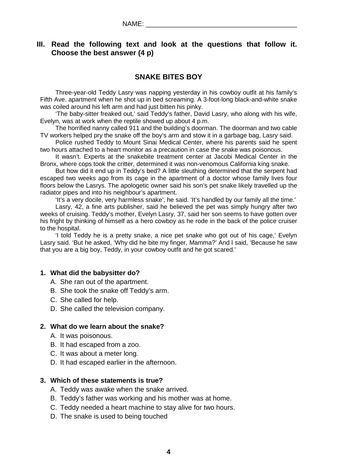#### **III. Read the following text and look at the questions that follow it. Choose the best answer (4 p)**

#### **SNAKE BITES BOY**

Three-year-old Teddy Lasry was napping yesterday in his cowboy outfit at his family's Fifth Ave. apartment when he shot up in bed screaming. A 3-foot-long black-and-white snake was coiled around his left arm and had just bitten his pinky.

'The baby-sitter freaked out,' said Teddy's father, David Lasry, who along with his wife, Evelyn, was at work when the reptile showed up about 4 p.m.

The horrified nanny called 911 and the building's doorman. The doorman and two cable TV workers helped pry the snake off the boy's arm and stow it in a garbage bag, Lasry said.

Police rushed Teddy to Mount Sinai Medical Center, where his parents said he spent two hours attached to a heart monitor as a precaution in case the snake was poisonous.

It wasn't. Experts at the snakebite treatment center at Jacobi Medical Center in the Bronx, where cops took the critter, determined it was non-venomous California king snake.

But how did it end up in Teddy's bed? A little sleuthing determined that the serpent had escaped two weeks ago from its cage in the apartment of a doctor whose family lives four floors below the Lasrys. The apologetic owner said his son's pet snake likely travelled up the radiator pipes and into his neighbour's apartment.

'It's a very docile, very harmless snake', he said. 'It's handled by our family all the time.'

Lasry, 42, a fine arts publisher, said he believed the pet was simply hungry after two weeks of cruising. Teddy's mother, Evelyn Lasry, 37, said her son seems to have gotten over his fright by thinking of himself as a hero cowboy as he rode in the back of the police cruiser to the hospital.

'I told Teddy he is a pretty snake, a nice pet snake who got out of his cage,' Evelyn Lasry said. 'But he asked, 'Why did he bite my finger, Mamma?' And I said, 'Because he saw that you are a big boy, Teddy, in your cowboy outfit and he got scared.'

#### **1. What did the babysitter do?**

- A. She ran out of the apartment.
- B. She took the snake off Teddy's arm.
- C. She called for help.
- D. She called the television company.

#### **2. What do we learn about the snake?**

- A. It was poisonous.
- B. It had escaped from a zoo.
- C. It was about a meter long.
- D. It had escaped earlier in the afternoon.

#### **3. Which of these statements is true?**

- A. Teddy was awake when the snake arrived.
- B. Teddy's father was working and his mother was at home.
- C. Teddy needed a heart machine to stay alive for two hours.
- D. The snake is used to being touched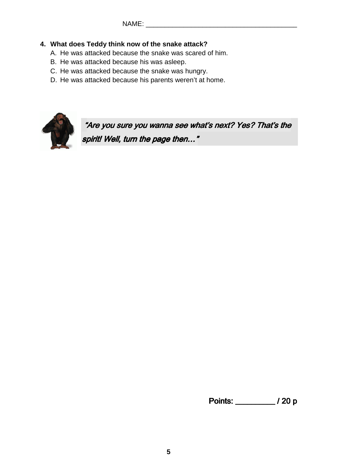#### **4. What does Teddy think now of the snake attack?**

- A. He was attacked because the snake was scared of him.
- B. He was attacked because his was asleep.
- C. He was attacked because the snake was hungry.
- D. He was attacked because his parents weren't at home.



"Are you sure you wanna see what's next? Yes? That's the spirit! Well, turn the page then..."

Points: \_\_\_\_\_\_\_\_\_\_\_ / 20 p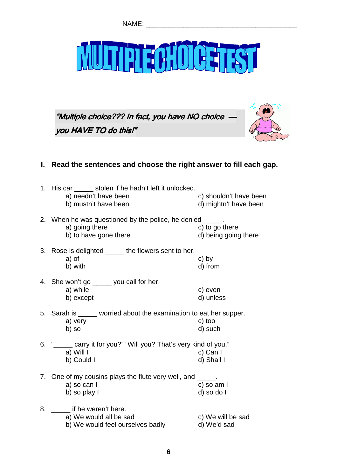# ECHOLOGIEST

"Multiple choice??? In fact, you have NO choice  $\cdot$ you HAVE TO do this!"



#### **I. Read the sentences and choose the right answer to fill each gap.**

| 1. His car ______ stolen if he hadn't left it unlocked.<br>a) needn't have been<br>b) mustn't have been | c) shouldn't have been<br>d) mightn't have been |
|---------------------------------------------------------------------------------------------------------|-------------------------------------------------|
| 2. When he was questioned by the police, he denied _____.<br>a) going there<br>b) to have gone there    | c) to go there<br>d) being going there          |
| 3. Rose is delighted _____ the flowers sent to her.<br>a) of<br>b) with                                 | c) by<br>d) from                                |
| 4. She won't go _____ you call for her.<br>a) while<br>b) except                                        | c) even<br>d) unless                            |
| 5. Sarah is _____ worried about the examination to eat her supper.<br>a) very<br>b) so                  | c) too<br>d) such                               |
| 6. " sample of you?" "Will you? That's very kind of you."<br>a) Will I<br>b) Could I                    | c) Can I<br>d) Shall I                          |
| 7. One of my cousins plays the flute very well, and _____.<br>a) so can I<br>b) so play I               | c) so am I<br>d) so do l                        |
| 8. If he weren't here.<br>a) We would all be sad<br>b) We would feel ourselves badly                    | c) We will be sad<br>d) We'd sad                |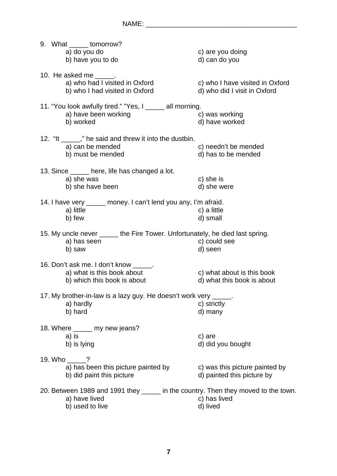|                                                                                   | 9. What ______ tomorrow?                                                     |                                 |  |
|-----------------------------------------------------------------------------------|------------------------------------------------------------------------------|---------------------------------|--|
|                                                                                   | a) do you do                                                                 | c) are you doing                |  |
|                                                                                   | b) have you to do                                                            | d) can do you                   |  |
|                                                                                   |                                                                              |                                 |  |
|                                                                                   | 10. He asked me _____.                                                       |                                 |  |
|                                                                                   | a) who had I visited in Oxford                                               | c) who I have visited in Oxford |  |
|                                                                                   | b) who I had visited in Oxford                                               | d) who did I visit in Oxford    |  |
|                                                                                   |                                                                              |                                 |  |
|                                                                                   | 11. "You look awfully tired." "Yes, I _____ all morning.                     |                                 |  |
|                                                                                   | a) have been working                                                         | c) was working                  |  |
|                                                                                   | b) worked                                                                    | d) have worked                  |  |
|                                                                                   |                                                                              |                                 |  |
|                                                                                   | 12. "It _____," he said and threw it into the dustbin.                       |                                 |  |
|                                                                                   |                                                                              |                                 |  |
|                                                                                   | a) can be mended                                                             | c) needn't be mended            |  |
|                                                                                   | b) must be mended                                                            | d) has to be mended             |  |
|                                                                                   |                                                                              |                                 |  |
|                                                                                   | 13. Since ______ here, life has changed a lot.                               |                                 |  |
|                                                                                   | a) she was                                                                   | c) she is                       |  |
|                                                                                   | b) she have been                                                             | d) she were                     |  |
|                                                                                   |                                                                              |                                 |  |
|                                                                                   | 14. I have very _____ money. I can't lend you any, I'm afraid.               |                                 |  |
|                                                                                   | a) little                                                                    | c) a little                     |  |
|                                                                                   | b) few                                                                       | d) small                        |  |
|                                                                                   |                                                                              |                                 |  |
|                                                                                   | 15. My uncle never _____ the Fire Tower. Unfortunately, he died last spring. |                                 |  |
|                                                                                   | a) has seen                                                                  | c) could see                    |  |
|                                                                                   | b) saw                                                                       | d) seen                         |  |
|                                                                                   |                                                                              |                                 |  |
|                                                                                   | 16. Don't ask me. I don't know ______.                                       |                                 |  |
|                                                                                   | a) what is this book about                                                   | c) what about is this book      |  |
|                                                                                   | b) which this book is about                                                  | d) what this book is about      |  |
|                                                                                   |                                                                              |                                 |  |
|                                                                                   | 17. My brother-in-law is a lazy guy. He doesn't work very _____.             |                                 |  |
|                                                                                   | a) hardly                                                                    | c) strictly                     |  |
|                                                                                   | b) hard                                                                      | d) many                         |  |
|                                                                                   |                                                                              |                                 |  |
|                                                                                   |                                                                              |                                 |  |
|                                                                                   | 18. Where <u>___</u> my new jeans?                                           |                                 |  |
|                                                                                   | a) is                                                                        | c) are                          |  |
|                                                                                   | b) is lying                                                                  | d) did you bought               |  |
|                                                                                   |                                                                              |                                 |  |
|                                                                                   | 19. Who _____?                                                               |                                 |  |
|                                                                                   | a) has been this picture painted by                                          | c) was this picture painted by  |  |
|                                                                                   | b) did paint this picture                                                    | d) painted this picture by      |  |
|                                                                                   |                                                                              |                                 |  |
| 20. Between 1989 and 1991 they _____ in the country. Then they moved to the town. |                                                                              |                                 |  |
|                                                                                   | a) have lived                                                                | c) has lived                    |  |
|                                                                                   | b) used to live                                                              | d) lived                        |  |
|                                                                                   |                                                                              |                                 |  |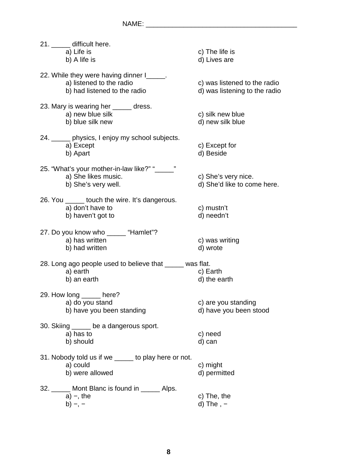| 21. ______ difficult here.                                      |                                |  |  |
|-----------------------------------------------------------------|--------------------------------|--|--|
| a) Life is<br>b) A life is                                      | c) The life is<br>d) Lives are |  |  |
|                                                                 |                                |  |  |
| 22. While they were having dinner I______.                      |                                |  |  |
| a) listened to the radio                                        | c) was listened to the radio   |  |  |
| b) had listened to the radio                                    | d) was listening to the radio  |  |  |
| 23. Mary is wearing her _____ dress.                            |                                |  |  |
| a) new blue silk                                                | c) silk new blue               |  |  |
| b) blue silk new                                                | d) new silk blue               |  |  |
| 24. _____ physics, I enjoy my school subjects.                  |                                |  |  |
| a) Except                                                       | c) Except for                  |  |  |
| b) Apart                                                        | d) Beside                      |  |  |
| 25. "What's your mother-in-law like?" "_____"                   |                                |  |  |
| a) She likes music.                                             | c) She's very nice.            |  |  |
| b) She's very well.                                             | d) She'd like to come here.    |  |  |
| 26. You _____ touch the wire. It's dangerous.                   |                                |  |  |
| a) don't have to                                                | c) mustn't                     |  |  |
| b) haven't got to                                               | d) needn't                     |  |  |
|                                                                 |                                |  |  |
| 27. Do you know who ______ "Hamlet"?                            |                                |  |  |
| a) has written<br>b) had written                                | c) was writing<br>d) wrote     |  |  |
|                                                                 |                                |  |  |
| 28. Long ago people used to believe that _____ was flat.        |                                |  |  |
| a) earth                                                        | c) Earth                       |  |  |
| b) an earth                                                     | d) the earth                   |  |  |
| 29. How long ______ here?                                       |                                |  |  |
| a) do you stand                                                 | c) are you standing            |  |  |
| b) have you been standing                                       | d) have you been stood         |  |  |
| 30. Skiing _____ be a dangerous sport.                          |                                |  |  |
|                                                                 |                                |  |  |
| a) has to                                                       | c) need                        |  |  |
| b) should                                                       | d) can                         |  |  |
|                                                                 |                                |  |  |
| 31. Nobody told us if we _____ to play here or not.<br>a) could | c) might                       |  |  |
| b) were allowed                                                 | d) permitted                   |  |  |
|                                                                 |                                |  |  |
| 32. _____ Mont Blanc is found in _____ Alps.<br>$a) -$ , the    | c) The, the                    |  |  |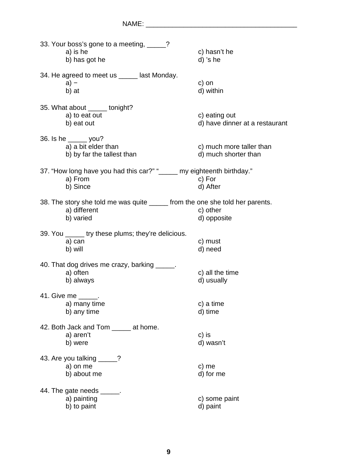| 33. Your boss's gone to a meeting, _____?                                     |                                |
|-------------------------------------------------------------------------------|--------------------------------|
| a) is he                                                                      | c) hasn't he                   |
| b) has got he                                                                 | d) 's he                       |
| 34. He agreed to meet us _____ last Monday.                                   |                                |
| $a) -$                                                                        | c) on                          |
| b) at                                                                         | d) within                      |
| 35. What about ______ tonight?                                                |                                |
| a) to eat out                                                                 | c) eating out                  |
| b) eat out                                                                    | d) have dinner at a restaurant |
| 36. Is he ______ you?                                                         |                                |
| a) a bit elder than                                                           | c) much more taller than       |
| b) by far the tallest than                                                    | d) much shorter than           |
| 37. "How long have you had this car?" "_____ my eighteenth birthday."         |                                |
| a) From                                                                       | c) For                         |
| b) Since                                                                      | d) After                       |
| 38. The story she told me was quite ______ from the one she told her parents. |                                |
| a) different                                                                  | c) other                       |
| b) varied                                                                     | d) opposite                    |
| 39. You ______ try these plums; they're delicious.                            |                                |
| a) can                                                                        | c) must                        |
| b) will                                                                       | d) need                        |
| 40. That dog drives me crazy, barking _____.                                  |                                |
| a) often                                                                      | c) all the time                |
| b) always                                                                     | d) usually                     |
| 41. Give me ______.                                                           |                                |
| a) many time                                                                  | c) a time                      |
| b) any time                                                                   | d) time                        |
| 42. Both Jack and Tom ______ at home.                                         |                                |
| a) aren't                                                                     | c) is                          |
| b) were                                                                       | d) wasn't                      |
| 43. Are you talking _____?                                                    |                                |
| a) on me                                                                      | c) me                          |
| b) about me                                                                   | d) for me                      |
| 44. The gate needs ______.                                                    |                                |
| a) painting                                                                   | c) some paint                  |
| b) to paint                                                                   | d) paint                       |
|                                                                               |                                |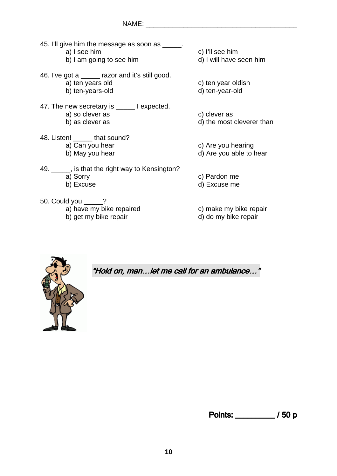- 45. I'll give him the message as soon as  $\qquad \qquad$ .
	-
	- b) I am going to see him d) I will have seen him
- 46. I've got a \_\_\_\_\_ razor and it's still good. a) ten years old c) ten year oldish b) ten-years-old d) ten-year-old
- 47. The new secretary is \_\_\_\_\_ I expected. a) so clever as c) clever as c) clever as c) clever as c) clever as c) clever as c) clever as c) as  $\alpha$
- 48. Listen! \_\_\_\_\_ that sound? a) Can you hear c) Are you hearing
- 49. \_\_\_\_\_, is that the right way to Kensington? a) Sorry c) Pardon me b) Excuse d) Excuse me
- 50. Could you \_\_\_\_\_? a) have my bike repaired c) make my bike repair

a) I see him c) I'll see him

- 
- 
- 
- 
- d) the most cleverer than
- 
- b) May you hear d) Are you able to hear
	-
	-
	-
- b) get my bike repair d) do my bike repair



"Hold on, man...let me call for an ambulance..."

Points: \_\_\_\_\_\_\_\_\_\_\_ / 50 p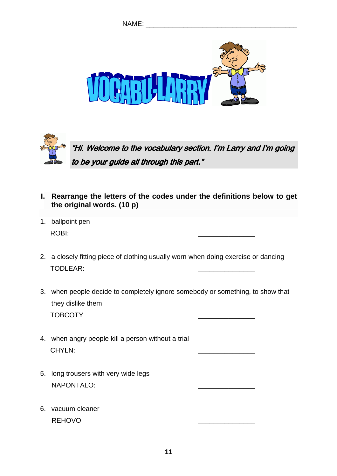





- **I. Rearrange the letters of the codes under the definitions below to get the original words. (10 p)**
- 1. ballpoint pen ROBI: \_\_\_\_\_\_\_\_\_\_\_\_\_\_\_
- 2. a closely fitting piece of clothing usually worn when doing exercise or dancing TODLEAR: \_\_\_\_\_\_\_\_\_\_\_\_\_\_\_
- 3. when people decide to completely ignore somebody or something, to show that they dislike them TOBCOTY \_\_\_\_\_\_\_\_\_\_\_\_\_\_\_
- 4. when angry people kill a person without a trial CHYLN: \_\_\_\_\_\_\_\_\_\_\_\_\_\_\_
- 5. long trousers with very wide legs NAPONTALO:
- 6. vacuum cleaner REHOVO \_\_\_\_\_\_\_\_\_\_\_\_\_\_\_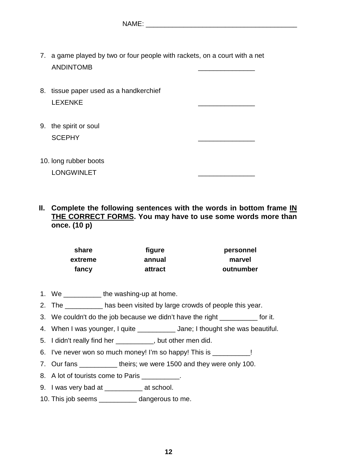7. a game played by two or four people with rackets, on a court with a net ANDINTOMB \_\_\_\_\_\_\_\_\_\_\_\_\_\_\_

| 8. tissue paper used as a handkerchief |
|----------------------------------------|
| LEXENKE                                |
|                                        |
| 9. the spirit or soul                  |

SCEPHY

10. long rubber boots LONGWINLET

**II. Complete the following sentences with the words in bottom frame IN THE CORRECT FORMS. You may have to use some words more than once. (10 p)** 

| share   | figure  | personnel |
|---------|---------|-----------|
| extreme | annual  | marvel    |
| fancy   | attract | outnumber |

- 1. We \_\_\_\_\_\_\_\_\_\_\_ the washing-up at home.
- 2. The \_\_\_\_\_\_\_\_\_\_ has been visited by large crowds of people this year.
- 3. We couldn't do the job because we didn't have the right \_\_\_\_\_\_\_\_\_ for it.
- 4. When I was younger, I quite  $\qquad \qquad$  Jane; I thought she was beautiful.
- 5. I didn't really find her \_\_\_\_\_\_\_\_\_\_, but other men did.
- 6. I've never won so much money! I'm so happy! This is \_\_\_\_\_\_\_\_\_\_!
- 7. Our fans theirs; we were 1500 and they were only 100.
- 8. A lot of tourists come to Paris
- 9. I was very bad at **Example 20** at school.
- 10. This job seems \_\_\_\_\_\_\_\_\_\_ dangerous to me.